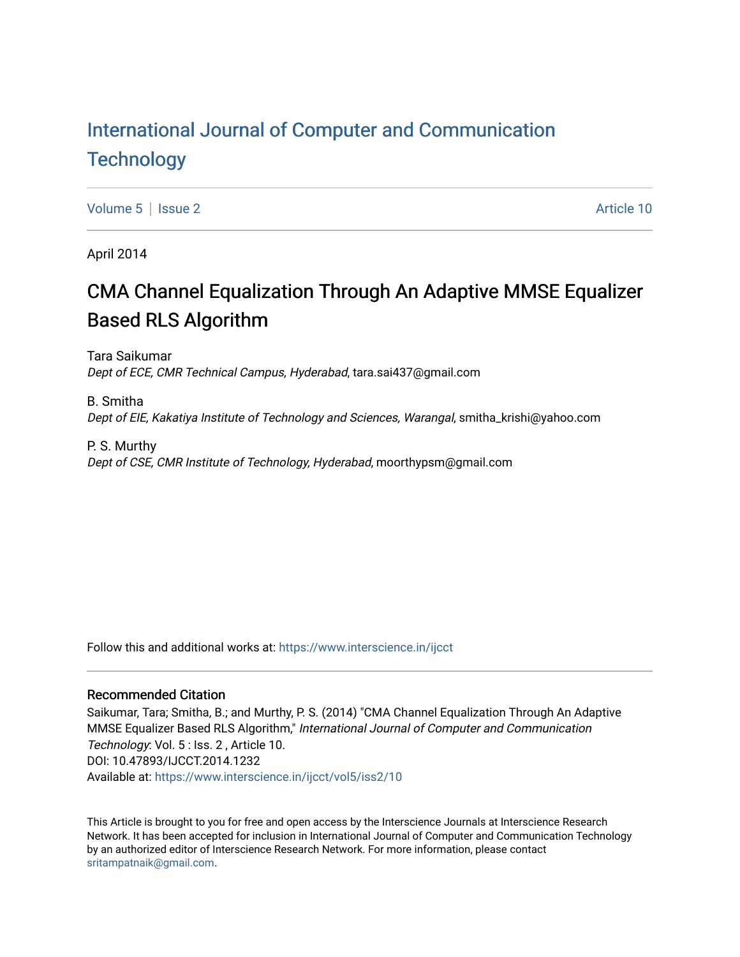# [International Journal of Computer and Communication](https://www.interscience.in/ijcct)  **Technology**

[Volume 5](https://www.interscience.in/ijcct/vol5) | [Issue 2](https://www.interscience.in/ijcct/vol5/iss2) Article 10

April 2014

# CMA Channel Equalization Through An Adaptive MMSE Equalizer Based RLS Algorithm

Tara Saikumar Dept of ECE, CMR Technical Campus, Hyderabad, tara.sai437@gmail.com

B. Smitha Dept of EIE, Kakatiya Institute of Technology and Sciences, Warangal, smitha\_krishi@yahoo.com

P. S. Murthy Dept of CSE, CMR Institute of Technology, Hyderabad, moorthypsm@gmail.com

Follow this and additional works at: [https://www.interscience.in/ijcct](https://www.interscience.in/ijcct?utm_source=www.interscience.in%2Fijcct%2Fvol5%2Fiss2%2F10&utm_medium=PDF&utm_campaign=PDFCoverPages)

# Recommended Citation

Saikumar, Tara; Smitha, B.; and Murthy, P. S. (2014) "CMA Channel Equalization Through An Adaptive MMSE Equalizer Based RLS Algorithm," International Journal of Computer and Communication Technology: Vol. 5 : Iss. 2 , Article 10. DOI: 10.47893/IJCCT.2014.1232 Available at: [https://www.interscience.in/ijcct/vol5/iss2/10](https://www.interscience.in/ijcct/vol5/iss2/10?utm_source=www.interscience.in%2Fijcct%2Fvol5%2Fiss2%2F10&utm_medium=PDF&utm_campaign=PDFCoverPages) 

This Article is brought to you for free and open access by the Interscience Journals at Interscience Research Network. It has been accepted for inclusion in International Journal of Computer and Communication Technology by an authorized editor of Interscience Research Network. For more information, please contact [sritampatnaik@gmail.com](mailto:sritampatnaik@gmail.com).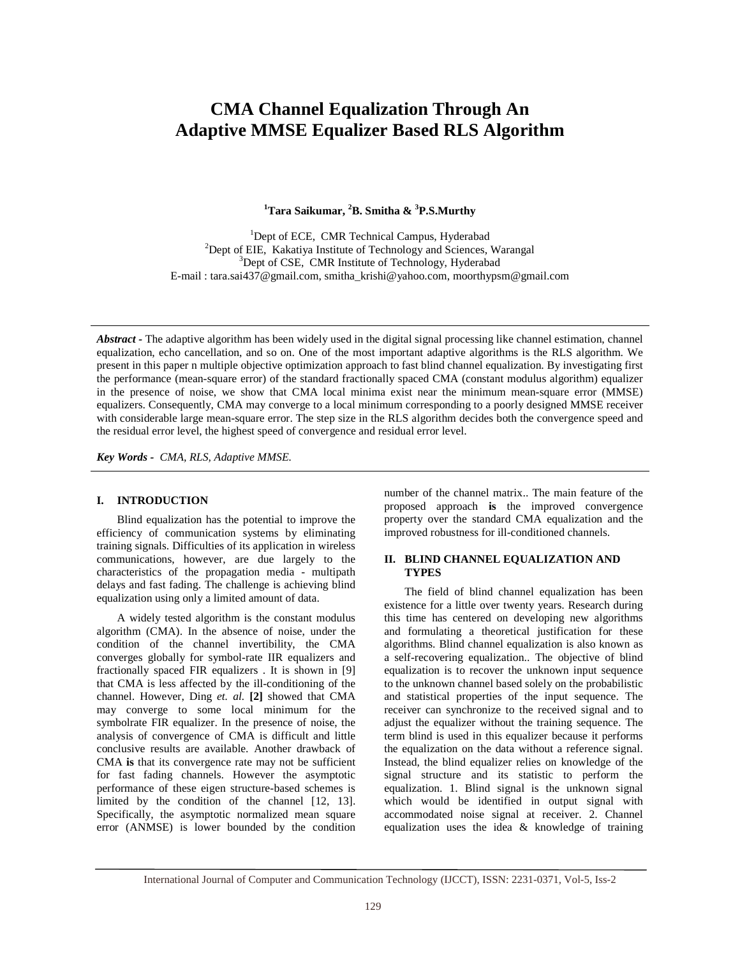# **CMA Channel Equalization Through An Adaptive MMSE Equalizer Based RLS Algorithm**

**<sup>1</sup>Tara Saikumar, <sup>2</sup>B. Smitha & <sup>3</sup>P.S.Murthy** 

<sup>1</sup>Dept of ECE, CMR Technical Campus, Hyderabad  $2$ Dept of EIE, Kakatiya Institute of Technology and Sciences, Warangal <sup>3</sup>Dept of CSE, CMR Institute of Technology, Hyderabad E-mail : tara.sai437@gmail.com, smitha\_krishi@yahoo.com, moorthypsm@gmail.com

*Abstract -* The adaptive algorithm has been widely used in the digital signal processing like channel estimation, channel equalization, echo cancellation, and so on. One of the most important adaptive algorithms is the RLS algorithm. We present in this paper n multiple objective optimization approach to fast blind channel equalization. By investigating first the performance (mean-square error) of the standard fractionally spaced CMA (constant modulus algorithm) equalizer in the presence of noise, we show that CMA local minima exist near the minimum mean-square error (MMSE) equalizers. Consequently, CMA may converge to a local minimum corresponding to a poorly designed MMSE receiver with considerable large mean-square error. The step size in the RLS algorithm decides both the convergence speed and the residual error level, the highest speed of convergence and residual error level.

*Key Words - CMA, RLS, Adaptive MMSE.* 

#### **I. INTRODUCTION**

 Blind equalization has the potential to improve the efficiency of communication systems by eliminating training signals. Difficulties of its application in wireless communications, however, are due largely to the characteristics of the propagation media - multipath delays and fast fading. The challenge is achieving blind equalization using only a limited amount of data.

 A widely tested algorithm is the constant modulus algorithm (CMA). In the absence of noise, under the condition of the channel invertibility, the CMA converges globally for symbol-rate IIR equalizers and fractionally spaced FIR equalizers . It is shown in [9] that CMA is less affected by the ill-conditioning of the channel. However, Ding *et. al.* **[2]** showed that CMA may converge to some local minimum for the symbolrate FIR equalizer. In the presence of noise, the analysis of convergence of CMA is difficult and little conclusive results are available. Another drawback of CMA **is** that its convergence rate may not be sufficient for fast fading channels. However the asymptotic performance of these eigen structure-based schemes is limited by the condition of the channel [12, 13]. Specifically, the asymptotic normalized mean square error (ANMSE) is lower bounded by the condition number of the channel matrix.. The main feature of the proposed approach **is** the improved convergence property over the standard CMA equalization and the improved robustness for ill-conditioned channels.

# **II. BLIND CHANNEL EQUALIZATION AND TYPES**

 The field of blind channel equalization has been existence for a little over twenty years. Research during this time has centered on developing new algorithms and formulating a theoretical justification for these algorithms. Blind channel equalization is also known as a self-recovering equalization.. The objective of blind equalization is to recover the unknown input sequence to the unknown channel based solely on the probabilistic and statistical properties of the input sequence. The receiver can synchronize to the received signal and to adjust the equalizer without the training sequence. The term blind is used in this equalizer because it performs the equalization on the data without a reference signal. Instead, the blind equalizer relies on knowledge of the signal structure and its statistic to perform the equalization. 1. Blind signal is the unknown signal which would be identified in output signal with accommodated noise signal at receiver. 2. Channel equalization uses the idea & knowledge of training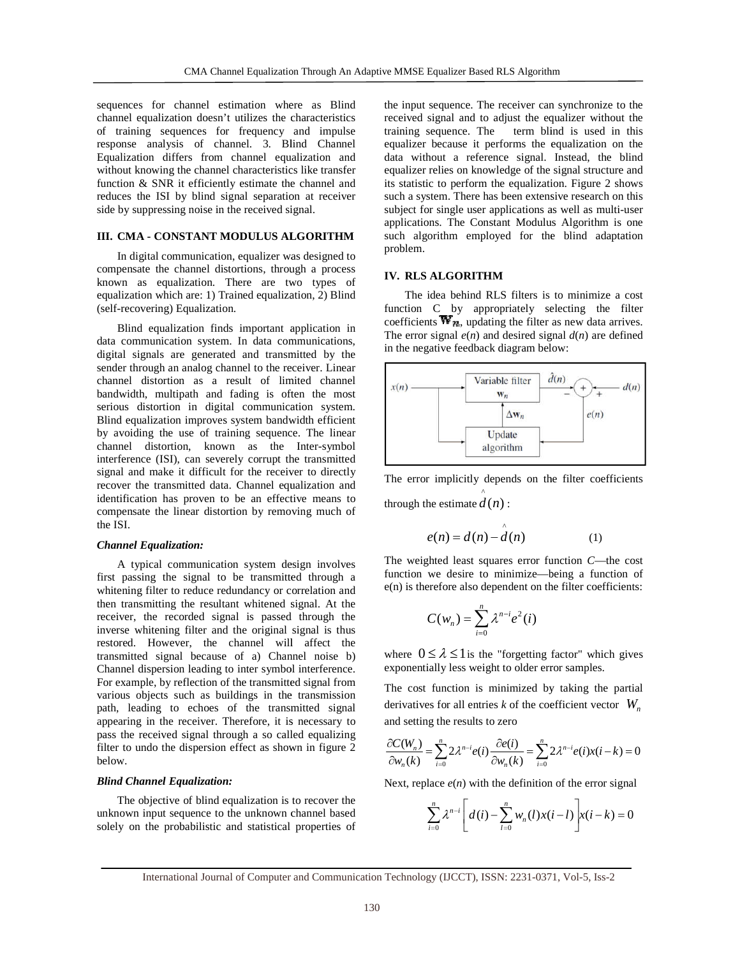sequences for channel estimation where as Blind channel equalization doesn't utilizes the characteristics of training sequences for frequency and impulse response analysis of channel. 3. Blind Channel Equalization differs from channel equalization and without knowing the channel characteristics like transfer function & SNR it efficiently estimate the channel and reduces the ISI by blind signal separation at receiver side by suppressing noise in the received signal. channel estimation where as Blind<br>ion doesn't utilizes the characteristics<br>uences for frequency and impulse<br>is of channel. 3. Blind Channel<br>fers from channel equalization and<br>the channel characteristics like transfer

## **III. CMA - CONSTANT MODULUS ALGORITHM**

In digital communication, equalizer was designed to compensate the channel distortions, through a process known as equalization. There are two types of equalization which are: 1) Trained equalization, 2) Blind (self-recovering) Equalization.

Blind equalization finds important application in data communication system. In data communications, digital signals are generated and transmitted by the sender through an analog channel to the receiver. Linear channel distortion as a result of limited channel bandwidth, multipath and fading is often the most serious distortion in digital communication system. Blind equalization improves system bandwidth efficient by avoiding the use of training sequence. The linear channel distortion, known as the Inter-symbol interference (ISI), can severely corrupt the transmitted signal and make it difficult for the receiver to directly recover the transmitted data. Channel equalization and identification has proven to be an effective means to compensate the linear distortion by removing much of the ISI. are two types of<br>re: 1) Trained equalization, 2) Blind<br>alization.<br>on finds important application in<br>system. In data communications,<br>generated and transmitted by the<br>alog channel to the receiver. Linear<br>as a result of limit

#### *Channel Equalization:*

A typical communication system design involves first passing the signal to be transmitted through a whitening filter to reduce redundancy or correlation and then transmitting the resultant whitened signal. At the receiver, the recorded signal is passed through the inverse whitening filter and the original signal is thus restored. However, the channel will affect the transmitted signal because of a) Channel noise b) Channel dispersion leading to inter symbol interference. For example, by reflection of the transmitted signal from various objects such as buildings in the transmission path, leading to echoes of the transmitted signal appearing in the receiver. Therefore, it is necessary to pass the received signal through a so called equalizing below. d make it difficult for the receiver to directly<br>the transmitted data. Channel equalization and<br>ation has proven to be an effective means to<br>ate the linear distortion by removing much of<br>**Equalization:**<br>pical communication objects such as buildings in the transmission<br>ading to echoes of the transmitted signal<br>g in the receiver. Therefore, it is necessary to

#### *Blind Channel Equalization:*

filter to undo the dispersion effect as shown in figure 2<br>below.<br>**Blind Channel Equalization:**<br>The objective of blind equalization is to recover the<br>unknown input sequence to the unknown channel based The objective of blind equalization is to recover the unknown input sequence to the unknown channel based solely on the probabilistic and statistical properties of

the input sequence. The receiver can synchronize to the received signal and to adjust the equalizer without the training sequence. The term blind is used in this equalizer because it performs the equalization on the equalizer because it performs the equalization on the data without a reference signal. Instead, the blind equalizer relies on knowledge of the signal structure and its statistic to perform the equalization. Figure 2 shows its statistic to perform the equalization. Figure 2 shows<br>such a system. There has been extensive research on this subject for single user applications as well as multi-user applications. The Constant Modulus Algorithm is one such algorithm employed for the blind adaptation problem. input sequence. The receiver can synchronize to the sived signal and to adjust the equalizer without the ining sequence. The term blind is used in this

## **IV. RLS ALGORITHM**

The idea behind RLS filters is to minimize a cost function C by appropriately selecting the filter The idea behind RLS filters is to minimize a cost function C by appropriately selecting the filter coefficients  $\mathbf{W}_n$ , updating the filter as new data arrives. The error signal  $e(n)$  and desired signal  $d(n)$  are defined in the negative feedback diagram below:



The error implicitly depends on the filter coefficients through the estimate  $d(n)$ : ^

$$
e(n) = d(n) - \hat{d}(n)
$$
 (1)

The weighted least squares error function *C*—the cost function we desire to minimize—being a function of e(n) is therefore also dependent on the filter coefficients:

$$
C(w_n) = \sum_{i=0}^n \lambda^{n-i} e^2(i)
$$

where  $0 \le \lambda \le 1$  is the "forgetting factor" which gives exponentially less weight to older error samples. function we desire to minimize—being a<br>
e(n) is therefore also dependent on the filter<br>  $C(w_n) = \sum_{i=0}^{n} \lambda^{n-i} e^2(i)$ <br>
where  $0 \le \lambda \le 1$  is the "forgetting factor"<br>
exponentially less weight to older error samp<br>
The cost f

The cost function is minimized by taking the partial derivatives for all entries  $k$  of the coefficient vector  $W_n$ and setting the results to zero

$$
\frac{\partial C(W_n)}{\partial w_n(k)} = \sum_{i=0}^n 2\lambda^{n-i} e(i) \frac{\partial e(i)}{\partial w_n(k)} = \sum_{i=0}^n 2\lambda^{n-i} e(i) x(i-k) = 0
$$

Next, replace  $e(n)$  with the definition of the error signal

$$
\sum_{i=0}^{n} \lambda^{n-i} \left[ d(i) - \sum_{l=0}^{n} w_n(l) x(i-l) \right] x(i-k) = 0
$$

International Journal of Computer and Communication Technology (IJCCT), ISSN: 2231-0371, Vol-5, Iss-2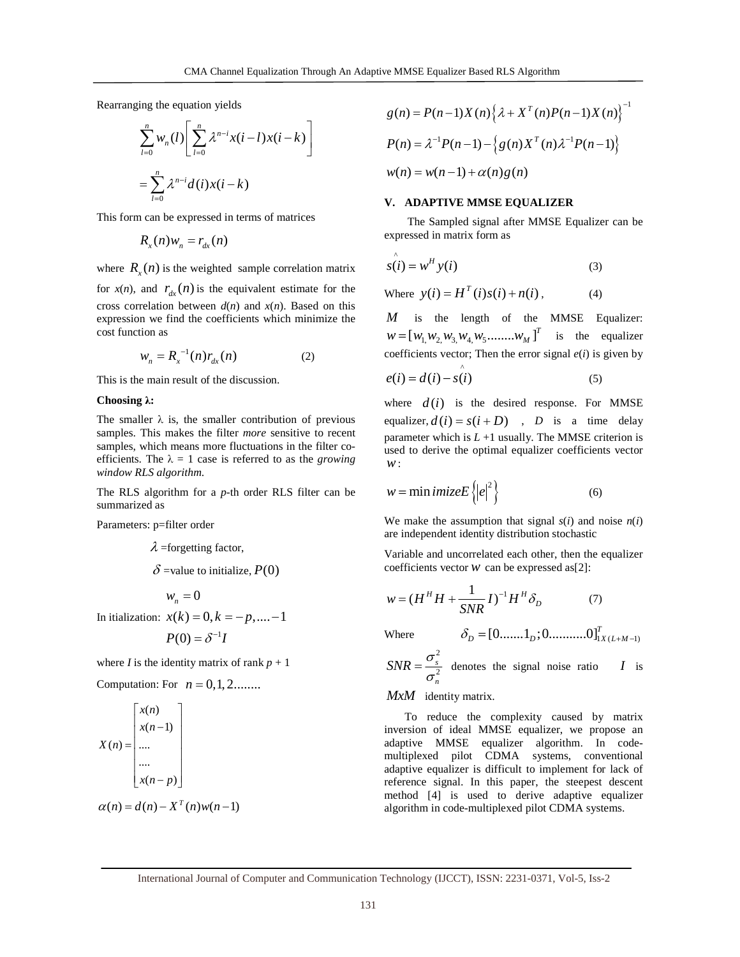Rearranging the equation yields

$$
\sum_{l=0}^{n} w_n(l) \left[ \sum_{l=0}^{n} \lambda^{n-i} x(i-l) x(i-k) \right]
$$
  
= 
$$
\sum_{l=0}^{n} \lambda^{n-i} d(i) x(i-k)
$$

This form can be expressed in terms of matrices

$$
R_{x}(n)w_{n}=r_{dx}(n)
$$

where  $R_x(n)$  is the weighted sample correlation matrix

for  $x(n)$ , and  $r_{dx}(n)$  is the equivalent estimate for the cross correlation between  $d(n)$  and  $x(n)$ . Based on this expression we find the coefficients which minimize the cost function as

$$
w_n = R_x^{-1}(n) r_{dx}(n)
$$
 (2)

This is the main result of the discussion.

#### **Choosing** λ**:**

The smaller  $\lambda$  is, the smaller contribution of previous samples. This makes the filter *more* sensitive to recent samples, which means more fluctuations in the filter coefficients. The  $\lambda = 1$  case is referred to as the *growing window RLS algorithm*.

The RLS algorithm for a *p*-th order RLS filter can be summarized as

Parameters: p=filter order

$$
λ
$$
 =forgetting factor,  
\n $δ$  = value to initialize,  $P(0)$   
\n $w_n = 0$   
\nIn itialization:  $x(k) = 0, k = -p, .... -1$ 

$$
P(0) = \delta^{-1}I
$$

where *I* is the identity matrix of rank  $p + 1$ 

Computation: For  $n = 0, 1, 2...$ 

$$
X(n) = \begin{bmatrix} x(n) \\ x(n-1) \\ \dots \\ \dots \\ x(n-p) \end{bmatrix}
$$

$$
\alpha(n) = d(n) - X^{T}(n)w(n-1)
$$

$$
g(n) = P(n-1)X(n)\left\{\lambda + X^{T}(n)P(n-1)X(n)\right\}^{-1}
$$

$$
P(n) = \lambda^{-1}P(n-1) - \left\{g(n)X^{T}(n)\lambda^{-1}P(n-1)\right\}
$$

$$
w(n) = w(n-1) + \alpha(n)g(n)
$$

## **V. ADAPTIVE MMSE EQUALIZER**

The Sampled signal after MMSE Equalizer can be expressed in matrix form as

$$
\hat{s(t)} = w^H y(t)
$$
 (3)

Where  $y(i) = H^T(i) s(i) + n(i)$ , (4)

*M* is the length of the MMSE Equalizer:  $W = [w_{1,1}, w_{2,1}, w_{3,1}, w_{4,1}, w_{5}, \dots, w_{M, M}]^{T}$  is the equalizer coefficients vector; Then the error signal  $e(i)$  is given by ^

$$
e(i) = d(i) - s(i) \tag{5}
$$

where  $d(i)$  is the desired response. For MMSE equalizer,  $d(i) = s(i + D)$ , *D* is a time delay parameter which is  $L + 1$  usually. The MMSE criterion is used to derive the optimal equalizer coefficients vector *w*:

{ } 2 *w imizeE e* = min (6)

We make the assumption that signal  $s(i)$  and noise  $n(i)$ are independent identity distribution stochastic

Variable and uncorrelated each other, then the equalizer coefficients vector  $w$  can be expressed as[2]:

$$
w = (H^H H + \frac{1}{SNR} I)^{-1} H^H \delta_D \tag{7}
$$

Where  $\delta_D = [0 \dots 1_D; 0 \dots 0]_{X(L+M-1)}^T$ 2

2 *s n*  $SNR = \frac{\sigma_s^2}{\sigma_s^2}$  denotes the signal noise ratio *I* is

#### *MxM* identity matrix.

 To reduce the complexity caused by matrix inversion of ideal MMSE equalizer, we propose an adaptive MMSE equalizer algorithm. In codemultiplexed pilot CDMA systems, conventional adaptive equalizer is difficult to implement for lack of reference signal. In this paper, the steepest descent method [4] is used to derive adaptive equalizer algorithm in code-multiplexed pilot CDMA systems.

International Journal of Computer and Communication Technology (IJCCT), ISSN: 2231-0371, Vol-5, Iss-2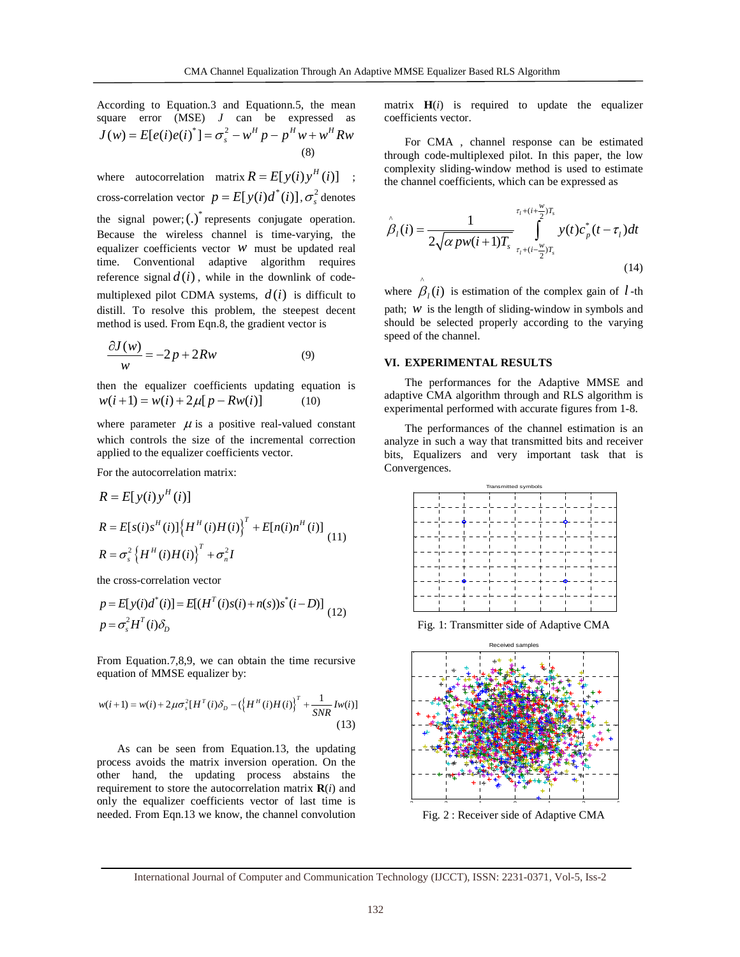According to Equation.3 and Equationn.5, the mean square error (MSE) *J* can be expressed as  $J(w) = E[e(i)e(i)^*] = \sigma_s^2 - w^H p - p^H w + w^H Rw$ (8)

where autocorrelation matrix  $R = E[y(i)y^{H}(i)]$ ; cross-correlation vector  $p = E[y(i)]$ ,  $\sigma_s^2$  denotes the signal power;  $(.)^*$  represents conjugate operation. Because the wireless channel is time-varying, the equalizer coefficients vector *w* must be updated real time. Conventional adaptive algorithm requires reference signal  $d(i)$ , while in the downlink of codemultiplexed pilot CDMA systems,  $d(i)$  is difficult to distill. To resolve this problem, the steepest decent method is used. From Eqn.8, the gradient vector is

$$
\frac{\partial J(w)}{w} = -2p + 2Rw\tag{9}
$$

then the equalizer coefficients updating equation is  $w(i+1) = w(i) + 2\mu[p - Rw(i)]$  (10)

where parameter  $\mu$  is a positive real-valued constant which controls the size of the incremental correction applied to the equalizer coefficients vector.

For the autocorrelation matrix:

$$
R = E[y(i)yH(i)]
$$
  
\n
$$
R = E[s(i)sH(i)] {HH(i)H(i)}T + E[n(i)nH(i)]
$$
  
\n
$$
R = \sigma_s^2 {HH(i)H(i)}T + \sigma_n^2 I
$$
 (11)

the cross-correlation vector

$$
p = E[y(i)d^*(i)] = E[(H^T(i)s(i) + n(s))s^*(i - D)]
$$
  
\n
$$
p = \sigma_s^2 H^T(i)\delta_D
$$
 (12)

From Equation.7,8,9, we can obtain the time recursive equation of MMSE equalizer by:

$$
w(i+1) = w(i) + 2\mu\sigma_s^2[H^T(i)\delta_D - (\{H^H(i)H(i)\}^T + \frac{1}{SNR}Iw(i)]
$$
\n(13)

As can be seen from Equation.13, the updating process avoids the matrix inversion operation. On the other hand, the updating process abstains the requirement to store the autocorrelation matrix  $\mathbf{R}(i)$  and only the equalizer coefficients vector of last time is needed. From Eqn.13 we know, the channel convolution matrix  $H(i)$  is required to update the equalizer coefficients vector.

For CMA , channel response can be estimated through code-multiplexed pilot. In this paper, the low complexity sliding-window method is used to estimate the channel coefficients, which can be expressed as

$$
\hat{\beta}_l(i) = \frac{1}{2\sqrt{\alpha p w(i+1)T_s}} \int_{\tau_l + (i - \frac{w}{2})T_s}^{\tau_l + (i + \frac{w}{2})T_s} y(t) c_p^*(t - \tau_l) dt
$$
\n(14)

where  $\hat{\beta}_i(i)$  is estimation of the complex gain of *l* -th path; *w* is the length of sliding-window in symbols and should be selected properly according to the varying speed of the channel.

#### **VI. EXPERIMENTAL RESULTS**

 The performances for the Adaptive MMSE and adaptive CMA algorithm through and RLS algorithm is experimental performed with accurate figures from 1-8.

 The performances of the channel estimation is an analyze in such a way that transmitted bits and receiver bits, Equalizers and very important task that is Convergences.



Fig. 1: Transmitter side of Adaptive CMA



Fig. 2 : Receiver side of Adaptive CMA

International Journal of Computer and Communication Technology (IJCCT), ISSN: 2231-0371, Vol-5, Iss-2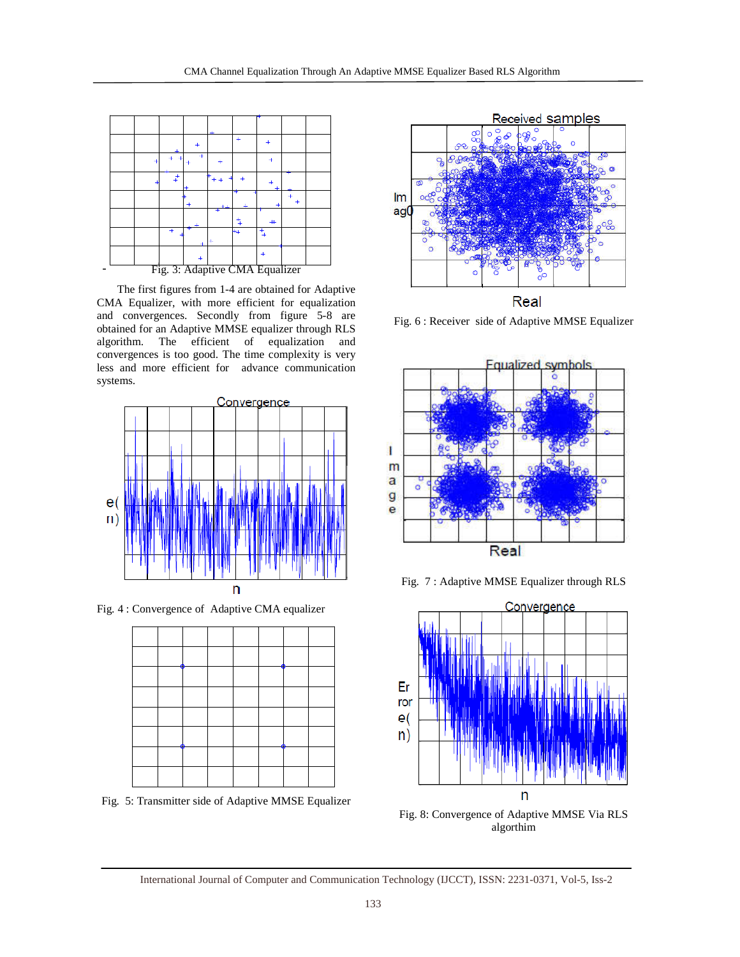

 The first figures from 1-4 are obtained for Adaptive CMA Equalizer, with more efficient for equalization and convergences. Secondly from figure 5-8 are obtained for an Adaptive MMSE equalizer through RLS algorithm. The efficient of equalization and convergences is too good. The time complexity is very less and more efficient for advance communication systems.



Fig. 4 : Convergence of Adaptive CMA equalizer



Fig. 5: Transmitter side of Adaptive MMSE Equalizer



Fig. 6 : Receiver side of Adaptive MMSE Equalizer



Fig. 7 : Adaptive MMSE Equalizer through RLS



Fig. 8: Convergence of Adaptive MMSE Via RLS algorthim